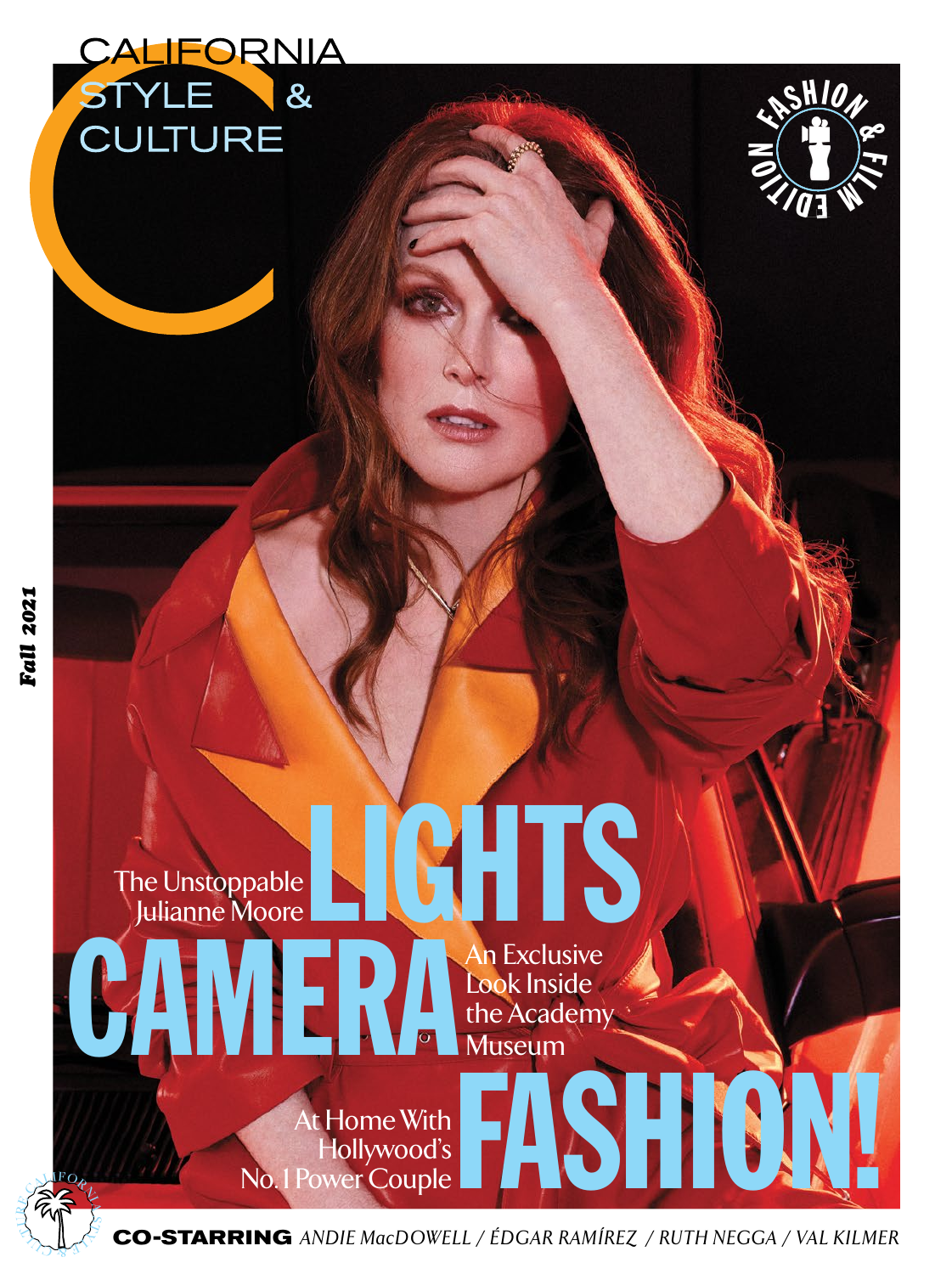



 $\beta$ RE



**CO-STARRING** *ANDIE MacDOWELL / ÉDGAR RAMÍREZ / RUTH NEGGA / VAL KILMER*